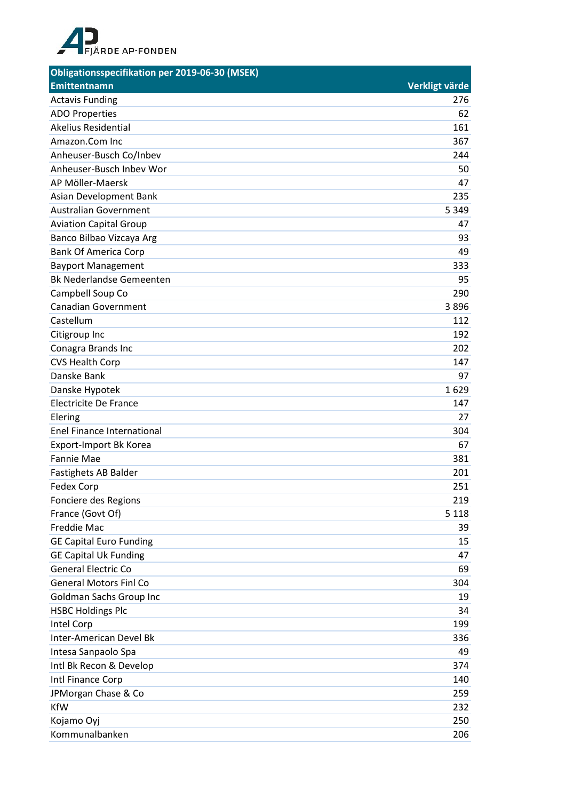

| Obligationsspecifikation per 2019-06-30 (MSEK) |                |
|------------------------------------------------|----------------|
| <b>Emittentnamn</b>                            | Verkligt värde |
| <b>Actavis Funding</b>                         | 276            |
| <b>ADO Properties</b>                          | 62             |
| <b>Akelius Residential</b>                     | 161            |
| Amazon.Com Inc                                 | 367            |
| Anheuser-Busch Co/Inbev                        | 244            |
| Anheuser-Busch Inbev Wor                       | 50             |
| AP Möller-Maersk                               | 47             |
| Asian Development Bank                         | 235            |
| <b>Australian Government</b>                   | 5 3 4 9        |
| <b>Aviation Capital Group</b>                  | 47             |
| Banco Bilbao Vizcaya Arg                       | 93             |
| <b>Bank Of America Corp</b>                    | 49             |
| <b>Bayport Management</b>                      | 333            |
| <b>Bk Nederlandse Gemeenten</b>                | 95             |
| Campbell Soup Co                               | 290            |
| <b>Canadian Government</b>                     | 3896           |
| Castellum                                      | 112            |
| Citigroup Inc                                  | 192            |
| Conagra Brands Inc                             | 202            |
| <b>CVS Health Corp</b>                         | 147            |
| Danske Bank                                    | 97             |
| Danske Hypotek                                 | 1629           |
| <b>Electricite De France</b>                   | 147            |
| Elering                                        | 27             |
| Enel Finance International                     | 304            |
| Export-Import Bk Korea                         | 67             |
| <b>Fannie Mae</b>                              | 381            |
| Fastighets AB Balder                           | 201            |
| Fedex Corp                                     | 251            |
| Fonciere des Regions                           | 219            |
| France (Govt Of)                               | 5 1 1 8        |
| <b>Freddie Mac</b>                             | 39             |
| <b>GE Capital Euro Funding</b>                 | 15             |
| <b>GE Capital Uk Funding</b>                   | 47             |
| <b>General Electric Co</b>                     | 69             |
| <b>General Motors Finl Co</b>                  | 304            |
| Goldman Sachs Group Inc                        | 19             |
| <b>HSBC Holdings Plc</b>                       | 34             |
| Intel Corp                                     | 199            |
| Inter-American Devel Bk                        | 336            |
| Intesa Sanpaolo Spa                            | 49             |
| Intl Bk Recon & Develop                        | 374            |
| Intl Finance Corp                              | 140            |
| JPMorgan Chase & Co                            | 259            |
| <b>KfW</b>                                     | 232            |
| Kojamo Oyj                                     | 250            |
| Kommunalbanken                                 | 206            |